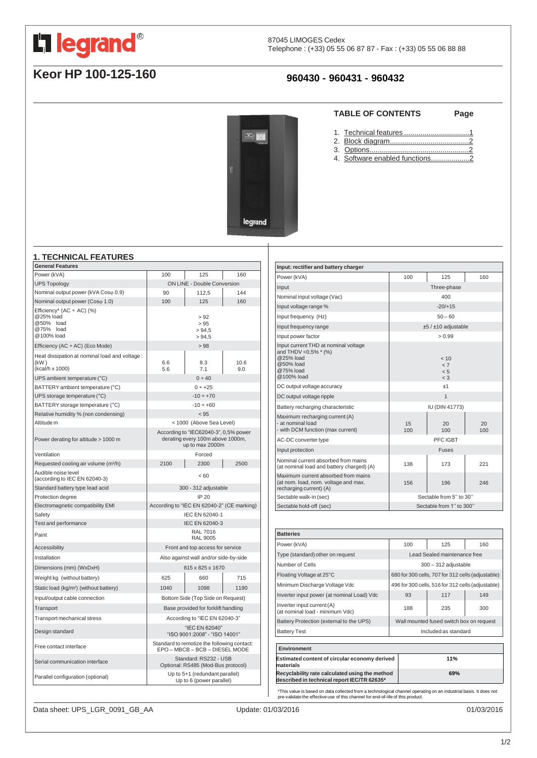<span id="page-0-0"></span>

# **Keor HP 100-125-160**

# **960430 - 960431 - 960432**

**STA** 

legrand

#### **TABLE OF CONTENTS Page**

- 1. Technical features [................................1](#page-0-0)
- 2. Block [diagram.......................................2](#page-1-0)
- 3. [Options.................................................2](#page-1-0)
- 4. Software enabled functions....................2

#### **1. TECHNICAL FEATURES**

| <b>General Features</b>                                                             |                                                                                              |                                   |             |
|-------------------------------------------------------------------------------------|----------------------------------------------------------------------------------------------|-----------------------------------|-------------|
| Power (kVA)                                                                         | 100                                                                                          | 125                               | 160         |
| <b>UPS Topology</b>                                                                 | ON LINE - Double Conversion                                                                  |                                   |             |
| Nominal output power (kVA Coso 0.9)                                                 | 90                                                                                           | 112,5                             | 144         |
| Nominal output power (Coso 1.0)                                                     | 100                                                                                          | 125                               | 160         |
| Efficiency* (AC $\div$ AC) (%)<br>@25% load<br>@50% load<br>@75% load<br>@100% load | > 92<br>> 95<br>> 94.5<br>> 94.5                                                             |                                   |             |
| Efficiency (AC $\div$ AC) (Eco Mode)                                                | > 98                                                                                         |                                   |             |
| Heat dissipation at nominal load and voltage :<br>(KW)<br>(kcal/h x 1000)           | 6.6<br>5.6                                                                                   | 8.3<br>7.1                        | 10.6<br>9.0 |
| UPS ambient temperature (°C)                                                        |                                                                                              | 0 ÷ 40                            |             |
| BATTERY ambient temperature (°C)                                                    | $0 ÷ +25$                                                                                    |                                   |             |
| UPS storage temperature (°C)                                                        | $-10 \div +70$                                                                               |                                   |             |
| BATTERY storage temperature (°C)                                                    | $-10 \div +60$                                                                               |                                   |             |
| Relative humidity % (non condensing)                                                | < 95                                                                                         |                                   |             |
| Altitude m                                                                          | < 1000 (Above Sea Level)                                                                     |                                   |             |
| Power derating for altitude > 1000 m                                                | According to "IEC62040-3", 0,5% power<br>derating every 100m above 1000m,<br>up to max 2000m |                                   |             |
| Ventilation                                                                         |                                                                                              | Forced                            |             |
| Requested cooling air volume (m <sup>3/h</sup> )                                    | 2100                                                                                         | 2300                              | 2500        |
| Audible noise level<br>(according to IEC EN 62040-3)                                | < 60                                                                                         |                                   |             |
| Standard battery type lead acid                                                     | 300 - 312 adjustable                                                                         |                                   |             |
| Protection degree                                                                   | <b>IP 20</b>                                                                                 |                                   |             |
| Electromagnetic compatibility EMI                                                   | According to "IEC EN 62040-2" (CE marking)                                                   |                                   |             |
| Safety                                                                              | IEC EN 62040-1                                                                               |                                   |             |
| Test and performance                                                                | IEC EN 62040-3                                                                               |                                   |             |
| Paint                                                                               | <b>RAL 7016</b><br><b>RAL 9005</b>                                                           |                                   |             |
| <b>Accessibility</b>                                                                | Front and top access for service                                                             |                                   |             |
| Installation                                                                        | Also against wall and/or side-by-side                                                        |                                   |             |
| Dimensions (mm) (WxDxH)                                                             | 815 x 825 x 1670                                                                             |                                   |             |
| Weight kg (without battery)                                                         | 625                                                                                          | 660                               | 715         |
| Static load (kg/m <sup>2</sup> ) (without battery)                                  | 1040                                                                                         | 1098                              | 1190        |
| Input/output cable connection                                                       |                                                                                              | Bottom Side (Top Side on Request) |             |
| Transport                                                                           | Base provided for forklift handling                                                          |                                   |             |
| Transport mechanical stress                                                         | According to "IEC EN 62040-3"                                                                |                                   |             |
| Design standard                                                                     | "IEC EN 62040"<br>"ISO 9001:2008" - "ISO 14001"                                              |                                   |             |
| Free contact interface                                                              | Standard to remotize the following contact:<br>EPO - MBCB - BCB - DIESEL MODE                |                                   |             |
| Serial communication interface                                                      | Standard: RS232 - USB<br>Optional: RS485 (Mod-Bus protocol)                                  |                                   |             |
| Parallel configuration (optional)                                                   | Up to 5+1 (redundant parallel)<br>Up to 6 (power parallel)                                   |                                   |             |

| Input: rectifier and battery charger                                                                              |                                |           |           |
|-------------------------------------------------------------------------------------------------------------------|--------------------------------|-----------|-----------|
| Power (kVA)                                                                                                       | 100                            | 125       | 160       |
| Input                                                                                                             | Three-phase                    |           |           |
| Nominal input voltage (Vac)                                                                                       | 400                            |           |           |
| Input voltage range %                                                                                             | $-20/+15$                      |           |           |
| Input frequency (Hz)                                                                                              | $50 - 60$                      |           |           |
| Input frequency range                                                                                             | $±5/±10$ adjustable            |           |           |
| Input power factor                                                                                                | > 0.99                         |           |           |
| Input current THD at nominal voltage<br>and THDV <0,5% * (%)<br>@25% load<br>@50% load<br>@75% load<br>@100% load | < 10<br>< 7<br>< 5<br>$\leq$ 3 |           |           |
| DC output voltage accuracy                                                                                        | ±1                             |           |           |
| DC output voltage ripple                                                                                          | $\mathbf{1}$                   |           |           |
| Battery recharging characteristic                                                                                 | <b>IU (DIN 41773)</b>          |           |           |
| Maximum recharging current (A)<br>- at nominal load<br>- with DCM function (max current)                          | 15<br>100                      | 20<br>100 | 20<br>100 |
| AC-DC converter type                                                                                              | PFC IGBT                       |           |           |
| Input protection                                                                                                  | <b>Fuses</b>                   |           |           |
| Nominal current absorbed from mains<br>(at nominal load and battery charged) (A)                                  | 138                            | 173       | 221       |
| Maximum current absorbed from mains<br>(at nom. load, nom. voltage and max.<br>recharging current) (A)            | 156                            | 196       | 246       |
| Sectable walk-in (sec)                                                                                            | Sectable from 5" to 30"        |           |           |
| Sectable hold-off (sec)                                                                                           | Sectable from 1" to 300"       |           |           |

| <b>Batteries</b>                                                                              |                                                   |                                                   |     |     |
|-----------------------------------------------------------------------------------------------|---------------------------------------------------|---------------------------------------------------|-----|-----|
| Power (kVA)                                                                                   |                                                   | 100                                               | 125 | 160 |
| Type (standard) other on request                                                              |                                                   | Lead Sealed maintenance free                      |     |     |
| Number of Cells                                                                               |                                                   | $300 - 312$ adjustable                            |     |     |
| Floating Voltage at 25°C                                                                      |                                                   | 680 for 300 cells, 707 for 312 cells (adjustable) |     |     |
| Minimum Discharge Voltage Vdc                                                                 | 496 for 300 cells, 516 for 312 cells (adjustable) |                                                   |     |     |
| Inverter input power (at nominal Load) Vdc                                                    |                                                   | 93                                                | 117 | 149 |
| Inverter input current (A)<br>(at nominal load - minimum Vdc)                                 |                                                   | 188                                               | 235 | 300 |
| Battery Protection (external to the UPS)                                                      |                                                   | Wall mounted fused switch box on request          |     |     |
| <b>Battery Test</b>                                                                           |                                                   | Included as standard                              |     |     |
|                                                                                               |                                                   |                                                   |     |     |
| Environment                                                                                   |                                                   |                                                   |     |     |
| Estimated content of circular economy derived<br>materials                                    |                                                   |                                                   | 11% |     |
| Recyclability rate calculated using the method<br>described in technical report IEC/TR 62635* |                                                   | 69%                                               |     |     |

\*This value is based on data collected from a technological channel operating on an industrial basis. It does not pre-validate the effective use of this channel for end-of-life of this product.

Data sheet: UPS\_LGR\_0091\_GB\_AA Update: 01/03/2016 01/03/2016